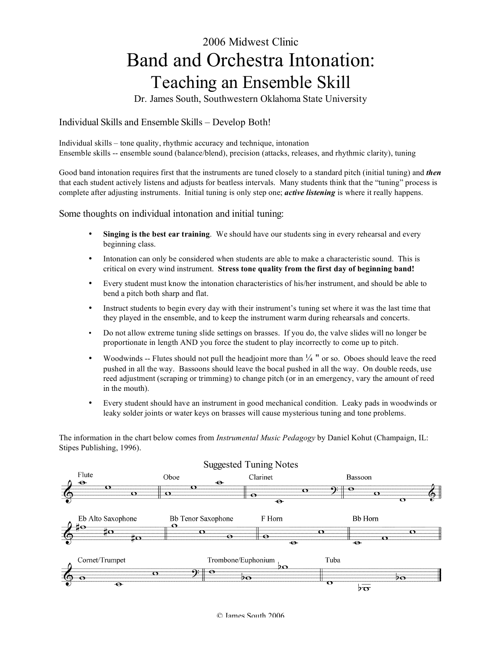# 2006 Midwest Clinic Band and Orchestra Intonation: Teaching an Ensemble Skill

Dr. James South, Southwestern Oklahoma State University

## Individual Skills and Ensemble Skills – Develop Both!

Individual skills – tone quality, rhythmic accuracy and technique, intonation Ensemble skills -- ensemble sound (balance/blend), precision (attacks, releases, and rhythmic clarity), tuning

Good band intonation requires first that the instruments are tuned closely to a standard pitch (initial tuning) and *then* that each student actively listens and adjusts for beatless intervals. Many students think that the "tuning" process is complete after adjusting instruments. Initial tuning is only step one; *active listening* is where it really happens.

Some thoughts on individual intonation and initial tuning:

- **Singing is the best ear training**. We should have our students sing in every rehearsal and every beginning class.
- Intonation can only be considered when students are able to make a characteristic sound. This is critical on every wind instrument. **Stress tone quality from the first day of beginning band!**
- Every student must know the intonation characteristics of his/her instrument, and should be able to bend a pitch both sharp and flat.
- Instruct students to begin every day with their instrument's tuning set where it was the last time that they played in the ensemble, and to keep the instrument warm during rehearsals and concerts.
- Do not allow extreme tuning slide settings on brasses. If you do, the valve slides will no longer be proportionate in length AND you force the student to play incorrectly to come up to pitch.
- Woodwinds -- Flutes should not pull the headjoint more than  $\frac{1}{4}$  " or so. Oboes should leave the reed pushed in all the way. Bassoons should leave the bocal pushed in all the way. On double reeds, use reed adjustment (scraping or trimming) to change pitch (or in an emergency, vary the amount of reed in the mouth).
- Every student should have an instrument in good mechanical condition. Leaky pads in woodwinds or leaky solder joints or water keys on brasses will cause mysterious tuning and tone problems.

The information in the chart below comes from *Instrumental Music Pedagogy* by Daniel Kohut (Champaign, IL: Stipes Publishing, 1996).

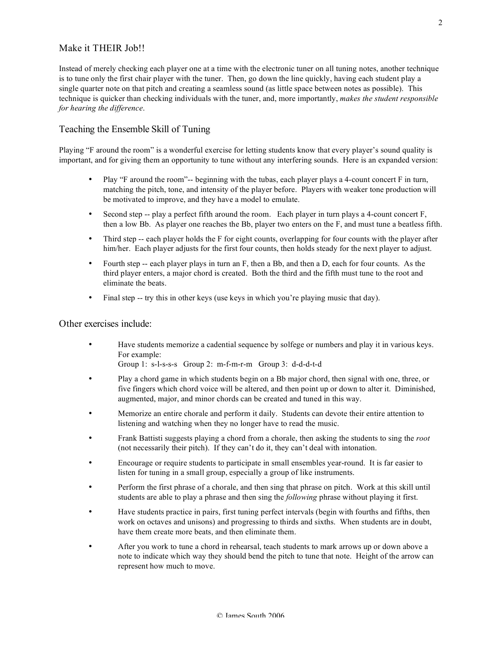## Make it THEIR Job!!

Instead of merely checking each player one at a time with the electronic tuner on all tuning notes, another technique is to tune only the first chair player with the tuner. Then, go down the line quickly, having each student play a single quarter note on that pitch and creating a seamless sound (as little space between notes as possible). This technique is quicker than checking individuals with the tuner, and, more importantly, *makes the student responsible for hearing the difference*.

### Teaching the Ensemble Skill of Tuning

Playing "F around the room" is a wonderful exercise for letting students know that every player's sound quality is important, and for giving them an opportunity to tune without any interfering sounds. Here is an expanded version:

- Play "F around the room"-- beginning with the tubas, each player plays a 4-count concert F in turn, matching the pitch, tone, and intensity of the player before. Players with weaker tone production will be motivated to improve, and they have a model to emulate.
- Second step -- play a perfect fifth around the room. Each player in turn plays a 4-count concert F, then a low Bb. As player one reaches the Bb, player two enters on the F, and must tune a beatless fifth.
- Third step -- each player holds the F for eight counts, overlapping for four counts with the player after him/her. Each player adjusts for the first four counts, then holds steady for the next player to adjust.
- Fourth step -- each player plays in turn an F, then a Bb, and then a D, each for four counts. As the third player enters, a major chord is created. Both the third and the fifth must tune to the root and eliminate the beats.
- Final step -- try this in other keys (use keys in which you're playing music that day).

#### Other exercises include:

• Have students memorize a cadential sequence by solfege or numbers and play it in various keys. For example:

Group 1: s-l-s-s-s Group 2: m-f-m-r-m Group 3: d-d-d-t-d

- Play a chord game in which students begin on a Bb major chord, then signal with one, three, or five fingers which chord voice will be altered, and then point up or down to alter it. Diminished, augmented, major, and minor chords can be created and tuned in this way.
- Memorize an entire chorale and perform it daily. Students can devote their entire attention to listening and watching when they no longer have to read the music.
- Frank Battisti suggests playing a chord from a chorale, then asking the students to sing the *root* (not necessarily their pitch). If they can't do it, they can't deal with intonation.
- Encourage or require students to participate in small ensembles year-round. It is far easier to listen for tuning in a small group, especially a group of like instruments.
- Perform the first phrase of a chorale, and then sing that phrase on pitch. Work at this skill until students are able to play a phrase and then sing the *following* phrase without playing it first.
- Have students practice in pairs, first tuning perfect intervals (begin with fourths and fifths, then work on octaves and unisons) and progressing to thirds and sixths. When students are in doubt, have them create more beats, and then eliminate them.
- After you work to tune a chord in rehearsal, teach students to mark arrows up or down above a note to indicate which way they should bend the pitch to tune that note. Height of the arrow can represent how much to move.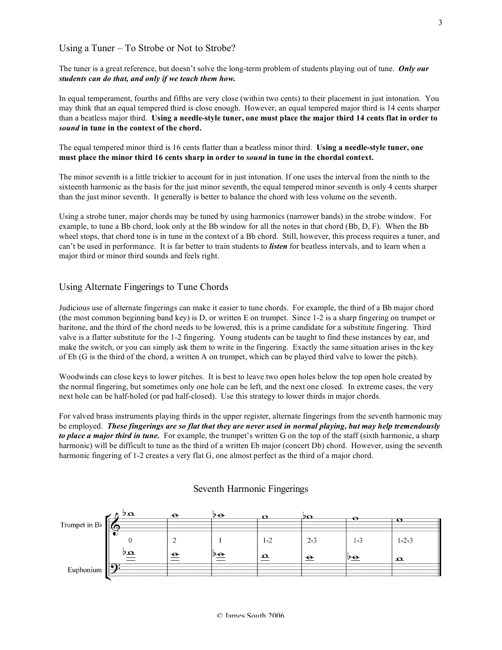#### Using a Tuner – To Strobe or Not to Strobe?

The tuner is a great reference, but doesn't solve the long-term problem of students playing out of tune. *Only our students can do that, and only if we teach them how.*

In equal temperament, fourths and fifths are very close (within two cents) to their placement in just intonation. You may think that an equal tempered third is close enough. However, an equal tempered major third is 14 cents sharper than a beatless major third. Using a needle-style tuner, one must place the major third 14 cents flat in order to *sound* **in tune in the context of the chord.**

The equal tempered minor third is 16 cents flatter than a beatless minor third. **Using a needle-style tuner, one must place the minor third 16 cents sharp in order to** *sound* **in tune in the chordal context.**

The minor seventh is a little trickier to account for in just intonation. If one uses the interval from the ninth to the sixteenth harmonic as the basis for the just minor seventh, the equal tempered minor seventh is only 4 cents sharper than the just minor seventh. It generally is better to balance the chord with less volume on the seventh.

Using a strobe tuner, major chords may be tuned by using harmonics (narrower bands) in the strobe window. For example, to tune a Bb chord, look only at the Bb window for all the notes in that chord (Bb, D, F). When the Bb wheel stops, that chord tone is in tune in the context of a Bb chord. Still, however, this process requires a tuner, and can't be used in performance. It is far better to train students to *listen* for beatless intervals, and to learn when a major third or minor third sounds and feels right.

#### Using Alternate Fingerings to Tune Chords

Judicious use of alternate fingerings can make it easier to tune chords. For example, the third of a Bb major chord (the most common beginning band key) is D, or written E on trumpet. Since 1-2 is a sharp fingering on trumpet or baritone, and the third of the chord needs to be lowered, this is a prime candidate for a substitute fingering. Third valve is a flatter substitute for the 1-2 fingering. Young students can be taught to find these instances by ear, and make the switch, or you can simply ask them to write in the fingering. Exactly the same situation arises in the key of Eb (G is the third of the chord, a written A on trumpet, which can be played third valve to lower the pitch).

Woodwinds can close keys to lower pitches. It is best to leave two open holes below the top open hole created by the normal fingering, but sometimes only one hole can be left, and the next one closed. In extreme cases, the very next hole can be half-holed (or pad half-closed). Use this strategy to lower thirds in major chords.

For valved brass instruments playing thirds in the upper register, alternate fingerings from the seventh harmonic may be employed. These fingerings are so flat that they are never used in normal playing, but may help tremendously *to place a major third in tune.* For example, the trumpet's written G on the top of the staff (sixth harmonic, a sharp harmonic) will be difficult to tune as the third of a written Eb major (concert Db) chord. However, using the seventh harmonic fingering of 1-2 creates a very flat G, one almost perfect as the third of a major chord.



#### Seventh Harmonic Fingerings